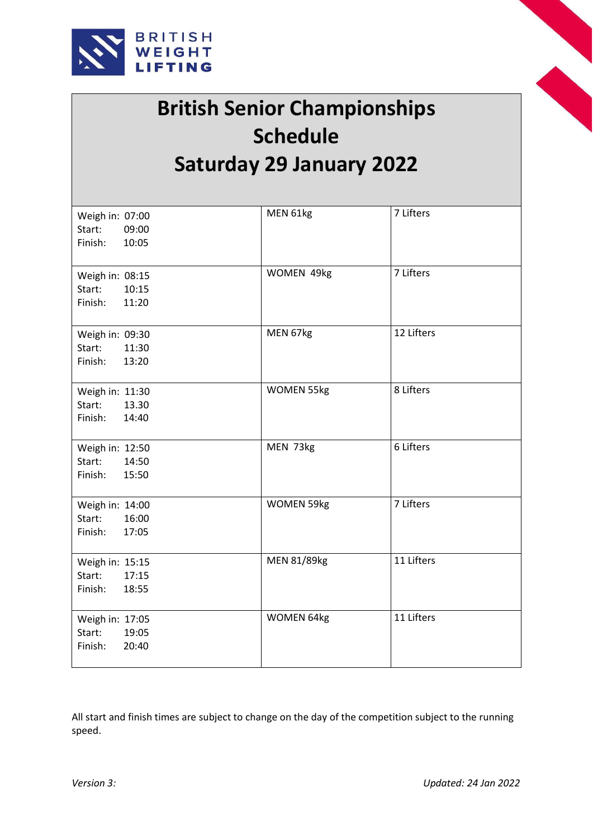



## **British Senior Championships Schedule Saturday 29 January 2022**

| Weigh in: 07:00  | MEN 61kg          | 7 Lifters  |  |
|------------------|-------------------|------------|--|
| Start:<br>09:00  |                   |            |  |
| Finish:<br>10:05 |                   |            |  |
|                  |                   |            |  |
|                  |                   |            |  |
| Weigh in: 08:15  | WOMEN 49kg        | 7 Lifters  |  |
| Start:<br>10:15  |                   |            |  |
| Finish:<br>11:20 |                   |            |  |
|                  |                   |            |  |
| Weigh in: 09:30  | MEN 67kg          | 12 Lifters |  |
| 11:30<br>Start:  |                   |            |  |
| Finish:<br>13:20 |                   |            |  |
|                  |                   |            |  |
| Weigh in: 11:30  | <b>WOMEN 55kg</b> | 8 Lifters  |  |
| 13.30<br>Start:  |                   |            |  |
| 14:40<br>Finish: |                   |            |  |
|                  |                   |            |  |
| Weigh in: 12:50  | MEN 73kg          | 6 Lifters  |  |
| 14:50<br>Start:  |                   |            |  |
| Finish:<br>15:50 |                   |            |  |
|                  |                   |            |  |
| Weigh in: 14:00  | <b>WOMEN 59kg</b> | 7 Lifters  |  |
| 16:00            |                   |            |  |
| Start:           |                   |            |  |
| Finish:<br>17:05 |                   |            |  |
|                  | MEN 81/89kg       | 11 Lifters |  |
| Weigh in: 15:15  |                   |            |  |
| Start:<br>17:15  |                   |            |  |
| Finish:<br>18:55 |                   |            |  |
|                  |                   |            |  |
| Weigh in: 17:05  | WOMEN 64kg        | 11 Lifters |  |
| Start:<br>19:05  |                   |            |  |
| 20:40<br>Finish: |                   |            |  |
|                  |                   |            |  |

All start and finish times are subject to change on the day of the competition subject to the running speed.